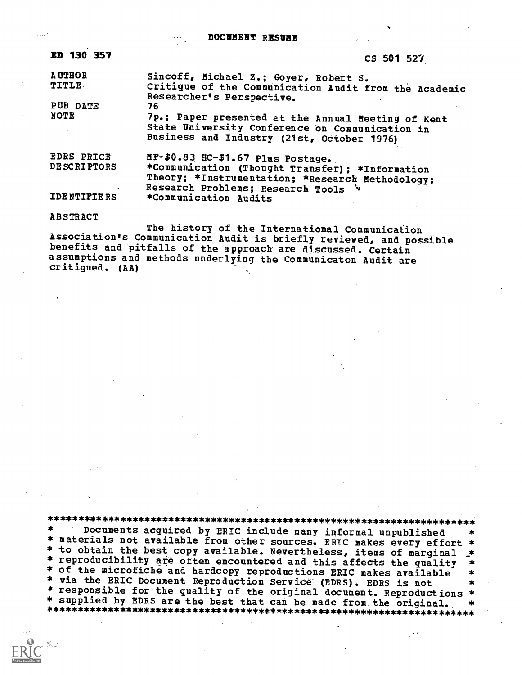DOCUMENT RESUME

| <b>ED 130 357</b>                       | CS 501 527                                                                                                                                                                      |
|-----------------------------------------|---------------------------------------------------------------------------------------------------------------------------------------------------------------------------------|
| <b>AUTHOR</b><br><b>TITLE</b>           | Sincoff, Michael Z.; Goyer, Robert S.<br>Critique of the Communication Audit from the Academic<br>Researcher's Perspective.                                                     |
| PUB DATE                                | 76                                                                                                                                                                              |
| NOTE                                    | 7p.; Paper presented at the Annual Meeting of Kent<br>State University Conference on Communication in<br>Business and Industry (21st, October 1976)                             |
| <b>EDRS PRICE</b><br><b>DESCRIPTORS</b> | MF-\$0.83 HC-\$1.67 Plus Postage.<br>*Communication (Thought Transfer); *Information<br>Theory; *Instrumentation; *Research Methodology;<br>Research Problems; Research Tools * |
| IDENTIFIERS                             | *Communication Audits                                                                                                                                                           |

#### ABSTRACT

The history of the International Communication<br>Association's Communication Audit is briefly reviewed, and possible benefits and pitfalls of the approach are discussed. Certain assumptions and methods underlying the Communicaton Audit are critiqued. (AA)

\*\*\*\*\*\*\*\*\*\*\*\*\*\*\*\*\*\*\*\*\*\*\*\*\*\*\*\*\*\*\*\*\*\*\*\*\*\*\*\*\*\*\*\*\*\*\*\*\*\*\*\*\*\*\*\*\*\*\*\*\*\*\*\*\*\*\*\*\*\*\* Documents acquired by ERIC include many informal unpublished \* materials not available from other sources. ERIC makes every effort \*<br>\* to obtain the best copy available. Nevertheless, items of marginal \* \* reproducibility are often encountered and this affects the quality<br>\* of the microfiche and hardcopy reproductions ERIC makes available<br>\* via the ERIC Document Reproduction Service (EDRS). EDRS is not \* responsible for the quality of the original document. Reproductions \*<br>\* supplied by EDRS are the best that can be made from the original. \* \* supplied by El:MS are the best that can be made from the original. \* \*\*\*\*\*\*\*\*\*\*\*\*\*\*\*\*\*\*\*\*\*\*\*\*\*\*\*\*\*\*\*\*\*\*\*\*\*\*\*\*\*\*\*\*\*\*\*\*\*\*\*\*\*\*\*\*\*\*\*\*\*\*\*\*\*\*\*\*\*\*\*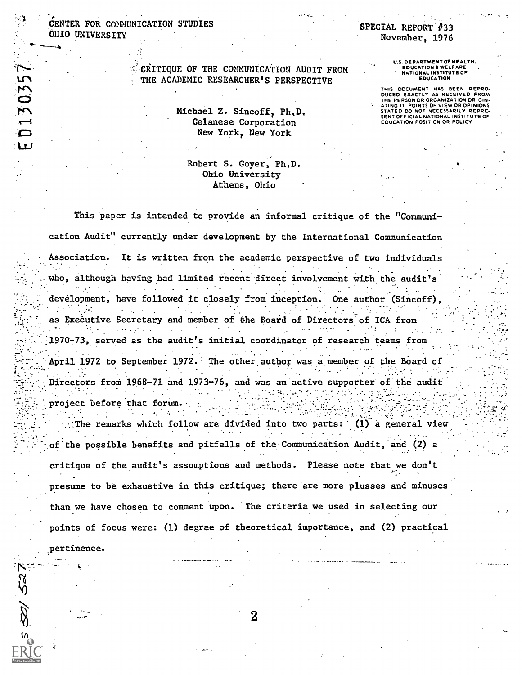## CENTER FOR COMMUNICATION STUDIES .01110 UNIVERSITY

 $\mathbf{a} = \mathbf{a} \times \mathbf{a}$ 

pertinence.

 $\mathcal{P}$ 

1.1.1

## SPECIAL. REPORT' #33 November, 1976

#### CRITIQUE OF THE COMMUNICATION AUDIT FROM THE ACADEMIC RESEARCHER'S PERSPECTIVE

Michael Z. Sincoff, Ph,D, Celanese Corporation New York, New York

### Robert S. Coyer, Ph.D. Ohio University Athens, Ohio

U.S. DEPARTMENT OF HEALTH, 'EDUCATION & WELFARE NATIONAL INSTITUTE OF EDUCATION

THIS DDCUMENT HAS BEEN REPRO. DUCED EXACTLY AS RECEIVED FROM THE PERSON DR ORGANIZATION ORIGIN-ATING IT POINTS DF VIEW OR OPINIONS STATED DO NOT NECESSARILY REPRE-SENT OF FICIAL NATIONAL INSTITUTE OF EDUCATION POSITION OR POLICY

. . .

This paper is intended to provide an informal critique of the "Communi-

cation Audit" currently under development by the International Communication

Association. It is written from the academic perspective of two individuals who, although having had limited recent direct involvement with the audit's . development, have followed it closely from inception. One author (Sincoff), . as Executive Secretary and member of the Board of Directors of ICA from 1970-73, served as the audit's initial coordinator of research teams from . . April 1972 to September 1972. The other author was a member of the Board of Directors from 1968-71 and 1973-76, and was an active supporter of the audit . project before that forum..

The remarks which follow are divided into two parts:  $(1)$  a general view .: of the possible benefits and pitfalls of the Communication Audit, and (2) a critique of the audit's assumptions and methods. Please note that we don't presume to be exhaustive in this critique; there are more plusses and minuses than we have chosen to comment upon. The criteria we used in selecting our points of focus were: (1) degree of theoretical importance, and (2) practical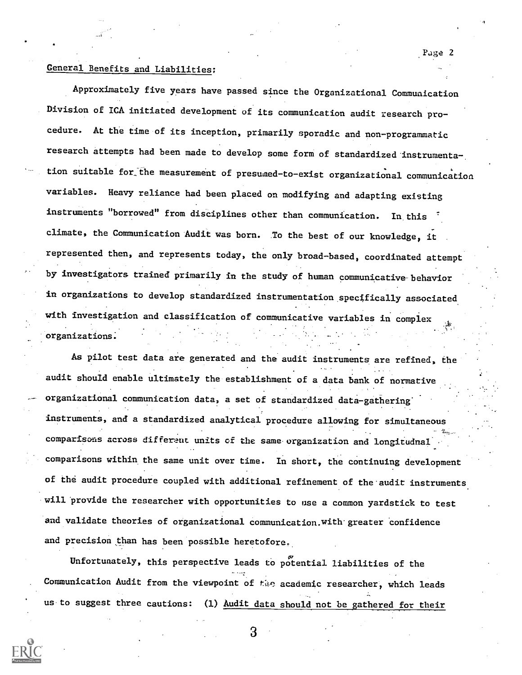## General Benefits and Liabilities:

Approximately five years have passed since the Organizational Commuaication Division of ICA initiated development of its communication audit research procedure. At the time of its inception, primarily sporadic and non-programmatic research attempts had been made to develop some form of standardized instrumentation suitable for the measurement of presumed-to-exist organizational communication variables. Heavy reliance had been placed on modifying and adapting existing instruments "borrowed" from disciplines other than communication. In this climate, the Communication Audit was born. To the best of our knowledge, it represented then, and represents today, the only broad-based, coordinated attempt by investigators trained primarily in the study of human communicative behavior in organizations to develop standardized instrumentation specifically associated with investigation and classification of communicative variables in complex organizations:

As pilot test data are generated and the audit instruments are refined, the audit should enable ultimately the establishment of a data bank of normative organizational communication data, a set of standardized data-gathering instruments, and a standardized analytical procedure allowing for simultaneous comparisons across different units of the same.organization and longitudnal. comparisons within the same unit over time. In short, the continuing development of the audit procedure coupled with additional refinement of the audit instruments will provide the researcher with opportunities to use a common yardstick to test and validate theories of organizational communication. with greater confidence and precision than has been possible heretofore.

Unfortunately, this perspective leads to potential liabilities of the Communication Audit from the viewpoint of the academic researcher, which leads us to suggest three cautions: (1) Audit data should not be gathered for their

Page 2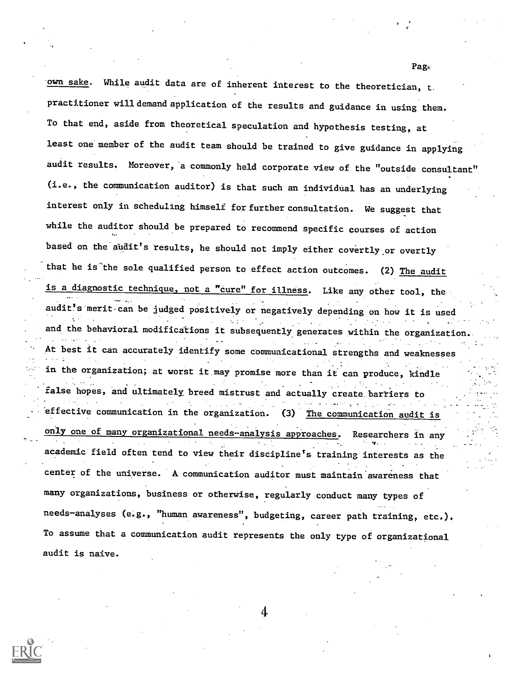own sake. While audit data are of inherent interest to the theoretician, <sup>t</sup> practitioner willdemand application of the results and guidance in using them. To that end, aside from theoretical speculation and hypothesis testing, at least one member of the audit team should be trained to give guidance in applying audit results, Moreover, a commonly held corporate view of the "outside consultant" (i.e., the communication auditor) is that such an individual has an underlying interest only in scheduling himself for further consultation. We suggest that while the auditor should be prepared to recommend specific courses of action based on the audit's results, he should not imply either covertly or overtly that he is the sole qualified person to effect action outcomes. (2) The audit is a diagnostic technique, not a "cure" for illness. Like any other tool, the audit's merit can be judged positively or negatively depending on how it is used and the behavioral modifications it subsequently generates within the organization. . The set of the set of the set of the set of the set of the set of the set of the set of the set of the set of the set of the set of the set of the set of the set of the set of the set of the set of the set of the set of At best it can accurately identify some communicational strengths and weaknesses in the organization; at worst it.may promise more than it can produce, kindle false hopes, and ultimately breed mistrust and actually create barriers to . effective communication in the organization. (3) The communication audit is only one of many organizational needs-analysis approaches. Researchers in any academic field often tend to view their discipline's training interests as the center of the universe. A communication auditor must maintain awareness that many organizations, business or otherwise, regularly conduct many types of needs-analyses (e.g., "human awareness", budgeting, career path training, etc.). To assume that a communication audit represents the only type of organizational audit is naive.

4

**Page**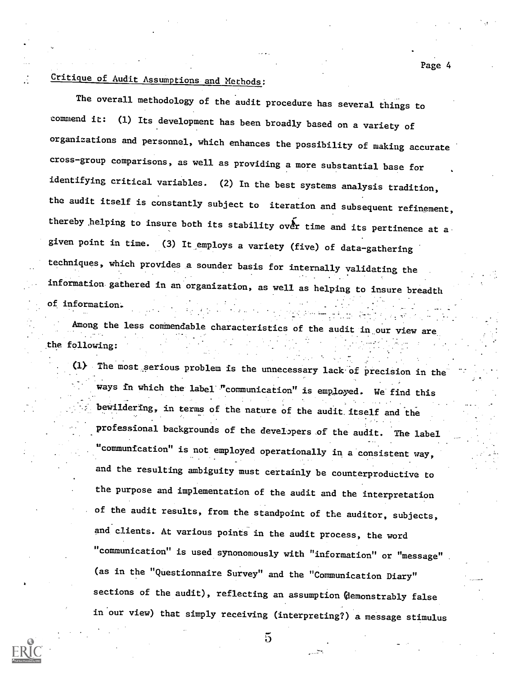# Critique of Audit Assumptions and Methods:

The overall methodology of the audit procedure has several things to commend it: (1) Its development has been broadly based on a variety of organizations and personnel, which enhances the possibility of making accurate cross-group comparisons, as well as providing a more substantial base for identifying critical variables. (2) In the best systems analysis tradition, the audit itself is constantly subject to iteration and subsequent refinement, thereby helping to insure both its stability over time and its pertinence at a given point in time. (3) It employs a variety (five) of data-gathering techniques, which provides a sounder basis for internally validating the information gathered in an organization, as well as helping to insure breadth of information:.

Page 4

Among the less commendable characteristics of the audit in our view are the following:

(1) The most.serious problem is the unnecessary lack-Of Precision in the ways in which the label "communication" is employed. We find this bewildering, in terms of the nature of the audit itself and the professional backgrounds of the developers of the audit. The label "communication" is not employed operationally in a consistent way, and the resulting ambiguity must certainly be counterproductive to the purpose and implementation of the audit and the interpretation of the audit results, from the standpoint of the auditor, subjects, and clients. At various points in the audit process, the word "communication" is used synonomously with "information" or "message" (as in the "Questionnaire Survey" and the "Communication Diary" sections of the audit), reflecting an assumption (demonstrably false in'our view) that simply receiving (interpreting?) a message stimulus

 $\overline{5}$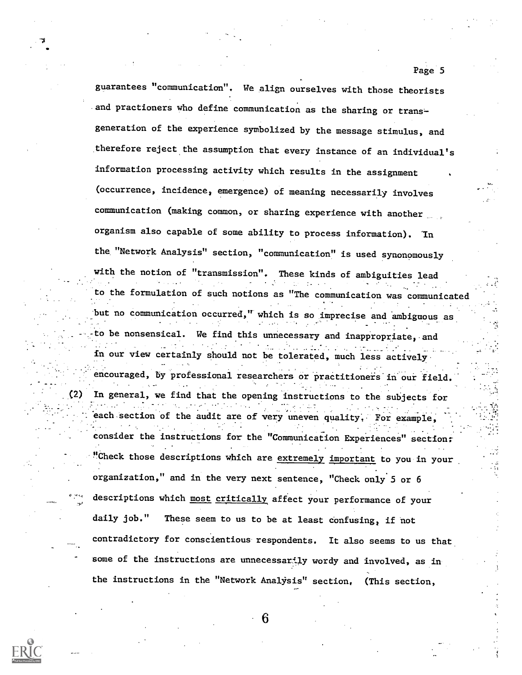guarantees "communication". We align ourselves with those theorists and practioners who define communication as the sharing or transgeneration of the experience symbolized by the message stimulus, and therefore reject the assumption that every instance of an individual's information processing activity which results in the assignment (occurrence, incidence, emergence) of meaning necessarily involves communication (making common, or sharing experience with another organism also capable of some ability to process information). 'In the "Network Analysis" section, "communication" is used synonomously with the notion of "transmission". These kinds of ambiguities lead o the formulation of such notions as "The communication was communicated but no communication occurred," which is so imprecise and ambiguous as. -to be nonsensical. We find this unnecessary and inappropriate, and in our view certainly should not be tolerated, much less actively encouraged, by professional researchers or practitioners in our field. (2) In general, we find that the opening instructions to the subjects for each section of the audit are of very uneven quality, For example, consider the instructions for the "Communication Experiences" section: "Check those descriptions which are extremely important to you in your organization," and in the very next sentence, "Check only 5 or 6 descriptions which most critically affect your performance of your daily job." These seem to us to be at least confusing, if not contradictory for conscientious respondents. It also seems to us that some of the instructions are unnecessarily wordy and involved, as in the instructions in the "Network Analysis" section, (This section,

Page 5

-V